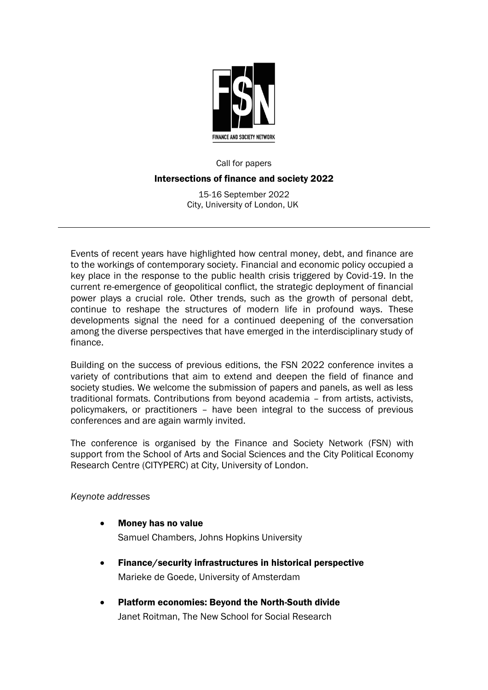

## Call for papers Intersections of finance and society 2022

15-16 September 2022 City, University of London, UK

Events of recent years have highlighted how central money, debt, and finance are to the workings of contemporary society. Financial and economic policy occupied a key place in the response to the public health crisis triggered by Covid-19. In the current re-emergence of geopolitical conflict, the strategic deployment of financial power plays a crucial role. Other trends, such as the growth of personal debt, continue to reshape the structures of modern life in profound ways. These developments signal the need for a continued deepening of the conversation among the diverse perspectives that have emerged in the interdisciplinary study of finance.

Building on the success of previous editions, the FSN 2022 conference invites a variety of contributions that aim to extend and deepen the field of finance and society studies. We welcome the submission of papers and panels, as well as less traditional formats. Contributions from beyond academia – from artists, activists, policymakers, or practitioners – have been integral to the success of previous conferences and are again warmly invited.

The conference is organised by the [Finance and Society Network](http://financeandsocietynetwork.org/) (FSN) with support from the School of Arts and Social Sciences and the City Political Economy Research Centre (CITYPERC) at City, University of London.

## *Keynote addresses*

- Money has no value Samuel Chambers, Johns Hopkins University
- Finance/security infrastructures in historical perspective Marieke de Goede, University of Amsterdam
- Platform economies: Beyond the North-South divide Janet Roitman, The New School for Social Research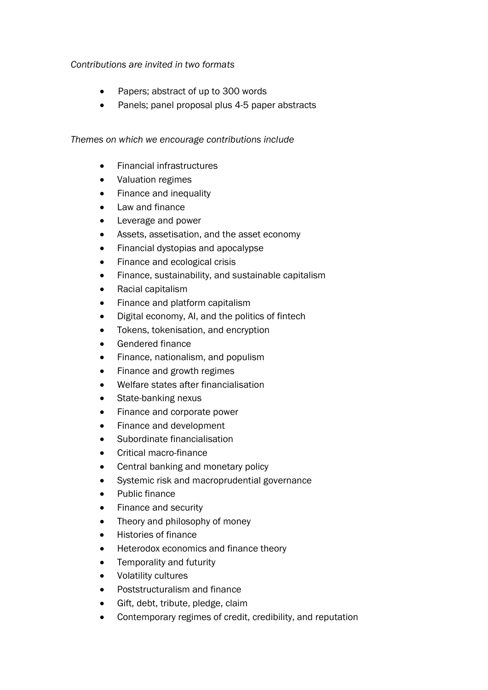## *Contributions are invited in two formats*

- Papers; abstract of up to 300 words
- Panels; panel proposal plus 4-5 paper abstracts

## *Themes on which we encourage contributions include*

- Financial infrastructures
- Valuation regimes
- Finance and inequality
- Law and finance
- Leverage and power
- Assets, assetisation, and the asset economy
- Financial dystopias and apocalypse
- Finance and ecological crisis
- Finance, sustainability, and sustainable capitalism
- Racial capitalism
- Finance and platform capitalism
- Digital economy, AI, and the politics of fintech
- Tokens, tokenisation, and encryption
- Gendered finance
- Finance, nationalism, and populism
- Finance and growth regimes
- Welfare states after financialisation
- State-banking nexus
- Finance and corporate power
- Finance and development
- Subordinate financialisation
- Critical macro-finance
- Central banking and monetary policy
- Systemic risk and macroprudential governance
- Public finance
- Finance and security
- Theory and philosophy of money
- Histories of finance
- Heterodox economics and finance theory
- Temporality and futurity
- Volatility cultures
- Poststructuralism and finance
- Gift, debt, tribute, pledge, claim
- Contemporary regimes of credit, credibility, and reputation